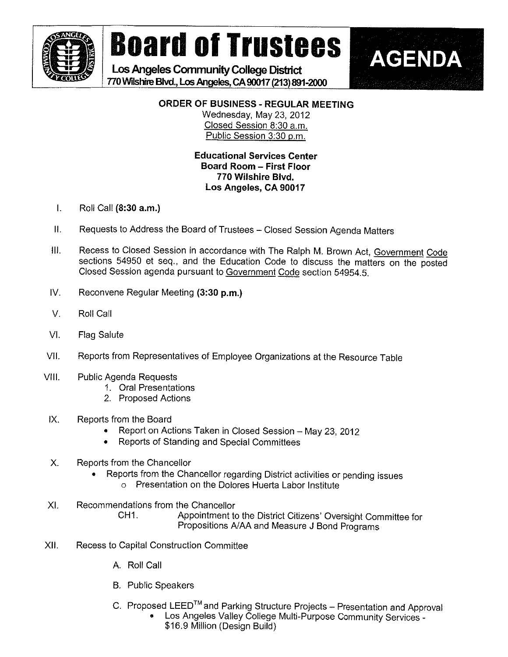

## Board of Trustees **MAGENDA**

Los Angeles Community College District 770 Wilshire Blvd., Los Angeles, CA 90017 (213) 891-2000



## ORDER OF BUSINESS - REGULAR MEETING

Wednesday, May 23, 2012 Closed Session 8:30 a.m. Public Session 3:30 p.m.

## Educational Services Center Board Room - First Floor 770 Wilshire Blvd. Los Angeles, CA 90017

- I. Roil Call (8:30 a.m.)
- II. Requests to Address the Board of Trustees Closed Session Agenda Matters
- II. Recess to Closed Session in accordance with The Ralph M. Brown Act, Government Code sections 54950 et seq., and the Education Code to discuss the matters on the posted Closed Session agenda pursuant to Government Code section 54954.5.
- IV. Reconvene Regular Meeting (3:30 p.m.)
- V. Roll Call
- VI. Flag Salute
- VII. Reports from Representatives of Employee Organizations at the Resource Table
- Vfll. Public Agenda Requests
	- 1. Oral Presentations
	- 2. Proposed Actions
- IX. Reports from the Board
	- . Report on Actions Taken in Closed Session May 23, 2012
	- . Reports of Standing and Special Committees
- X. Reports from the Chancellor
	- Reports from the Chancellor regarding District activities or pending issues . 0 Presentation on the Dofores Huerta Labor Institute
- Xl. Recommendations from the Chancellor CH1. Appointment to the District Citizens' Oversight Committee for Propositions A/AA and Measure J Bond Programs
- Xli. Recess to Capita! Construction Committee
	- A, Roll Call
	- B, Public Speakers
	- C. Proposed LEED<sup>™</sup> and Parking Structure Projects Presentation and Approval
		- Los Angeles Valley College Multi-Purpose Community Services -\$16.9 Million (Design Build)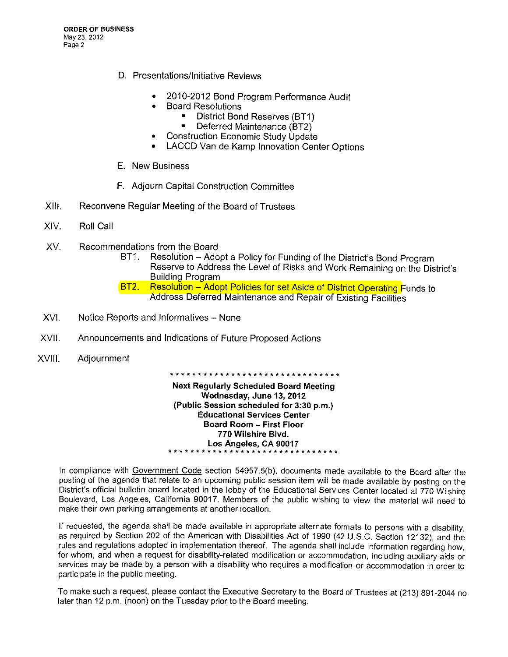- D. Presentations/Initiative Reviews
	- 2010-2012 Bond Program Performance Audit
	- . Board Resolutions
		- District Bond Reserves (BT1)
		- Deferred Maintenance (BT2)
	- . Construction Economic Study Update
	- LACCD Van de Kamp Innovation Center Options .
- E. New Business
- F. Adjourn Capital Construction Committee
- XIII. Reconvene Regular Meeting of the Board of Trustees
- XIV. Roll Call
- XV. Recommendations from the Board
	- BT1. Resolution Adopt a Policy for Funding of the District's Bond Program Reserve to Address the Level of Risks and Work Remaining on the District's Building Program
	- BT2. Resolution Adopt Policies for set Aside of District Operating Funds to Address Deferred Maintenance and Repair of Existing Facilities
- XVI. Notice Reports and Informatives None
- XVII. Announcements and Indications of Future Proposed Actions
- XVIII. Adjournment

\* \* \* \* \* \* \* \* \* \* \* \* \* \* \* \* \*\*\*\*\*\*\*\*\*\*\*\*\* \* \* Next Regularly Scheduled Board Meeting Wednesday, June 13, 2012 (Public Session scheduled for 3:30 p.m.) Educational Services Center Board Room - First Floor 770 Witshire Blvd. Los Angeles, CA 90017 \*\*\*\*\*\* \* \* \* \*\*\*\*\*\*\*\*\*\*\*\*\* \* \* \* \* \* \* \* \* \*

In compliance with Government Code section 54957.5(b), documents made available to the Board after the posting of the agenda that relate to an upcoming public session item wiil be made available by posting on the District's official bulletin board located in the lobby of the Educational Services Center located at 770 Wilshire Boulevard, Los Angeles, California 90017. Members of the public wishing to view the materiai wil! need to make their own parking arrangements at another location.

If requested, the agenda shall be made available in appropriate alternate formats to persons with a disability, as required by Section 202 of the American with Disabilities Act of 1990 (42 U.S.C. Section 12132), and the rules and regulations adopted in implementation thereof. The agenda shall include information regarding how, for whom, and when a request for disability-related modification or accommodation, including auxiliary aids or services may be made by a person with a disability who requires a modification or accommodation in order to participate in the public meeting.

To make such a request, please contact the Executive Secretary to the Board of Trustees at (213) 891-2044 no later than 12 p.m. (noon) on the Tuesday prior to the Board meeting.